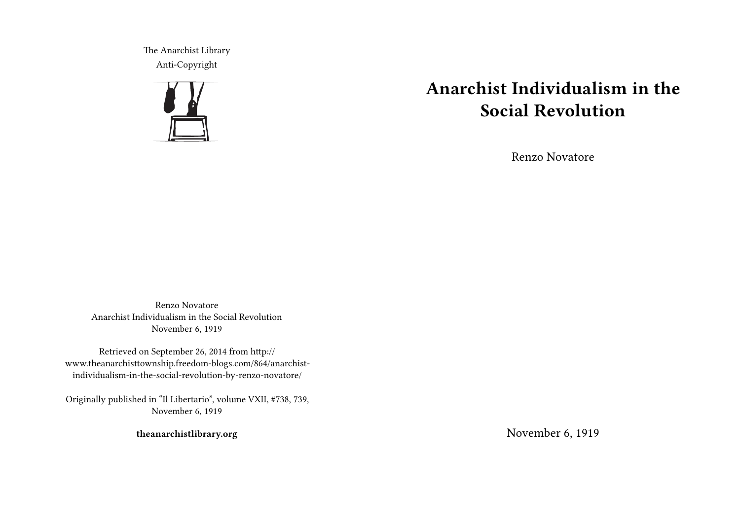The Anarchist Library Anti-Copyright



# **Anarchist Individualism in the Social Revolution**

Renzo Novatore

Renzo Novatore Anarchist Individualism in the Social Revolution November 6, 1919

Retrieved on September 26, 2014 from http:// www.theanarchisttownship.freedom-blogs.com/864/anarchistindividualism-in-the-social-revolution-by-renzo-novatore/

Originally published in "Il Libertario", volume VXII, #738, 739, November 6, 1919

**theanarchistlibrary.org**

November 6, 1919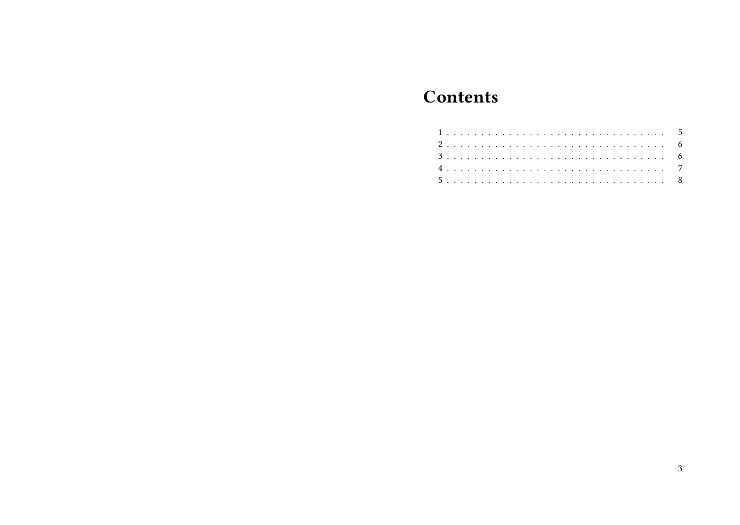## **Contents**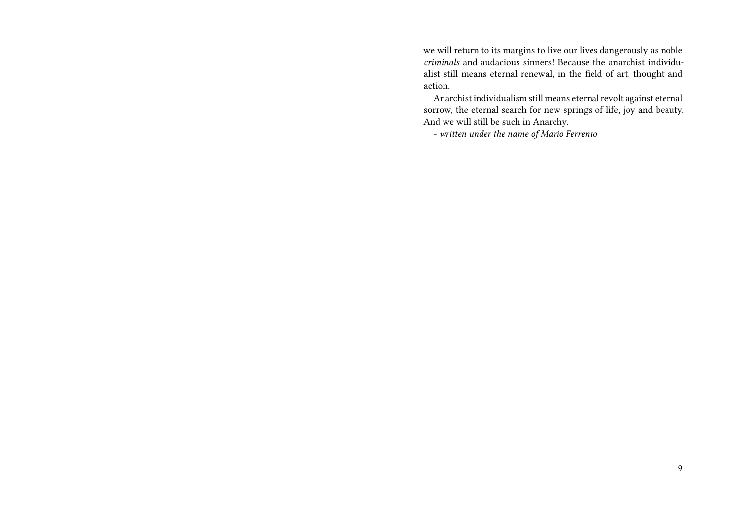we will return to its margins to live our lives dangerously as noble *criminals* and audacious sinners! Because the anarchist individualist still means eternal renewal, in the field of art, thought and action.

Anarchist individualism still means eternal revolt against eternal sorrow, the eternal search for new springs of life, joy and beauty. And we will still be such in Anarchy.

*- written under the name of Mario Ferrento*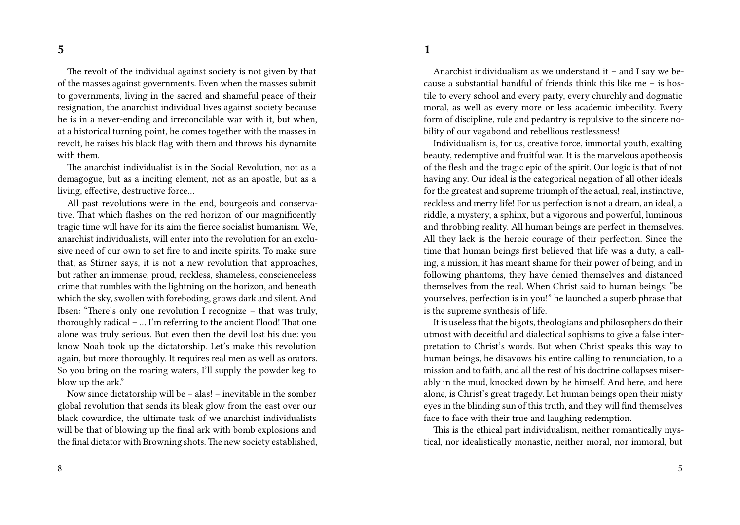The revolt of the individual against society is not given by that of the masses against governments. Even when the masses submit to governments, living in the sacred and shameful peace of their resignation, the anarchist individual lives against society because he is in a never-ending and irreconcilable war with it, but when, at a historical turning point, he comes together with the masses in revolt, he raises his black flag with them and throws his dynamite with them.

The anarchist individualist is in the Social Revolution, not as a demagogue, but as a inciting element, not as an apostle, but as a living, effective, destructive force…

All past revolutions were in the end, bourgeois and conservative. That which flashes on the red horizon of our magnificently tragic time will have for its aim the fierce socialist humanism. We, anarchist individualists, will enter into the revolution for an exclusive need of our own to set fire to and incite spirits. To make sure that, as Stirner says, it is not a new revolution that approaches, but rather an immense, proud, reckless, shameless, conscienceless crime that rumbles with the lightning on the horizon, and beneath which the sky, swollen with foreboding, grows dark and silent. And Ibsen: "There's only one revolution I recognize – that was truly, thoroughly radical – … I'm referring to the ancient Flood! That one alone was truly serious. But even then the devil lost his due: you know Noah took up the dictatorship. Let's make this revolution again, but more thoroughly. It requires real men as well as orators. So you bring on the roaring waters, I'll supply the powder keg to blow up the ark."

Now since dictatorship will be – alas! – inevitable in the somber global revolution that sends its bleak glow from the east over our black cowardice, the ultimate task of we anarchist individualists will be that of blowing up the final ark with bomb explosions and the final dictator with Browning shots. The new society established,

Anarchist individualism as we understand it – and I say we because a substantial handful of friends think this like me – is hostile to every school and every party, every churchly and dogmatic moral, as well as every more or less academic imbecility. Every form of discipline, rule and pedantry is repulsive to the sincere nobility of our vagabond and rebellious restlessness!

Individualism is, for us, creative force, immortal youth, exalting beauty, redemptive and fruitful war. It is the marvelous apotheosis of the flesh and the tragic epic of the spirit. Our logic is that of not having any. Our ideal is the categorical negation of all other ideals for the greatest and supreme triumph of the actual, real, instinctive, reckless and merry life! For us perfection is not a dream, an ideal, a riddle, a mystery, a sphinx, but a vigorous and powerful, luminous and throbbing reality. All human beings are perfect in themselves. All they lack is the heroic courage of their perfection. Since the time that human beings first believed that life was a duty, a calling, a mission, it has meant shame for their power of being, and in following phantoms, they have denied themselves and distanced themselves from the real. When Christ said to human beings: "be yourselves, perfection is in you!" he launched a superb phrase that is the supreme synthesis of life.

It is useless that the bigots, theologians and philosophers do their utmost with deceitful and dialectical sophisms to give a false interpretation to Christ's words. But when Christ speaks this way to human beings, he disavows his entire calling to renunciation, to a mission and to faith, and all the rest of his doctrine collapses miserably in the mud, knocked down by he himself. And here, and here alone, is Christ's great tragedy. Let human beings open their misty eyes in the blinding sun of this truth, and they will find themselves face to face with their true and laughing redemption.

This is the ethical part individualism, neither romantically mystical, nor idealistically monastic, neither moral, nor immoral, but